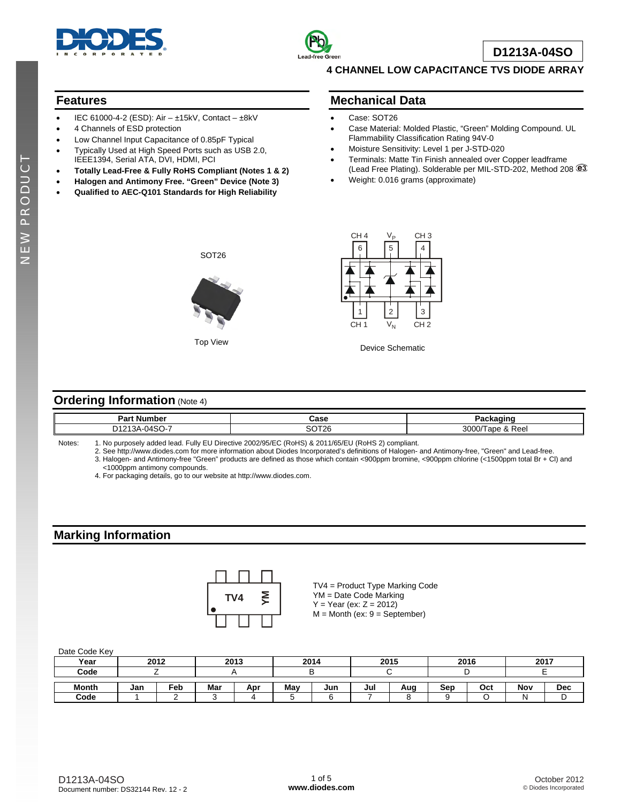



**D1213A-04SO**

### **4 CHANNEL LOW CAPACITANCE TVS DIODE ARRAY**

## **Features**

- IEC 61000-4-2 (ESD): Air ±15kV, Contact ±8kV
- 4 Channels of ESD protection
- Low Channel Input Capacitance of 0.85pF Typical
- Typically Used at High Speed Ports such as USB 2.0, IEEE1394, Serial ATA, DVI, HDMI, PCI
- **Totally Lead-Free & Fully RoHS Compliant (Notes 1 & 2)**
- **Halogen and Antimony Free. "Green" Device (Note 3)**
- **Qualified to AEC-Q101 Standards for High Reliability**

### **Mechanical Data**

- Case: SOT26
- Case Material: Molded Plastic, "Green" Molding Compound. UL Flammability Classification Rating 94V-0
- Moisture Sensitivity: Level 1 per J-STD-020
- Terminals: Matte Tin Finish annealed over Copper leadframe (Lead Free Plating). Solderable per MIL-STD-202, Method 208
- Weight: 0.016 grams (approximate)



SOT26



Top View **Device Schematic** Device Schematic

### **Ordering Information (Note 4)**

| Par<br>Num<br>.umber                                                      | Case           |                     |
|---------------------------------------------------------------------------|----------------|---------------------|
| -<br>$\sim$<br>$\sim$ 4040 $^{\circ}$<br>١Λ<br>$\mathbf{v}$<br>. .<br>ov. | $-2700$<br>JL. | 3000<br>Reel<br>. . |

Notes: 1. No purposely added lead. Fully EU Directive 2002/95/EC (RoHS) & 2011/65/EU (RoHS 2) compliant.

 2. See [http://www.diodes.com fo](http://www.diodes.com)r more information about Diodes Incorporated's definitions of Halogen- and Antimony-free, "Green" and Lead-free. 3. Halogen- and Antimony-free "Green" products are defined as those which contain <900ppm bromine, <900ppm chlorine (<1500ppm total Br + Cl) and

<1000ppm antimony compounds.

4. For packaging details, go to our website at [http://www.diodes.com.](http://www.diodes.com)

# **Marking Information**



TV4 = Product Type Marking Code YM = Date Code Marking  $Y = Year (ex: Z = 2012)$  $M =$  Month (ex:  $9 =$  September)

#### Date Code Key

| Year         | 2012 |                 | 2013 |     | 2014 |     | 2015 |     | 2016 |     | 2017 |            |
|--------------|------|-----------------|------|-----|------|-----|------|-----|------|-----|------|------------|
| Code         |      |                 |      |     |      |     |      |     |      |     |      |            |
| <b>Month</b> | Jan  | Fe <sub>b</sub> | Mar  | Apr | May  | Jun | Jul  | Aua | Sep  | Oct | Nov  | <b>Dec</b> |
| Code         |      |                 |      |     |      |     |      |     |      |     | N    | ╺          |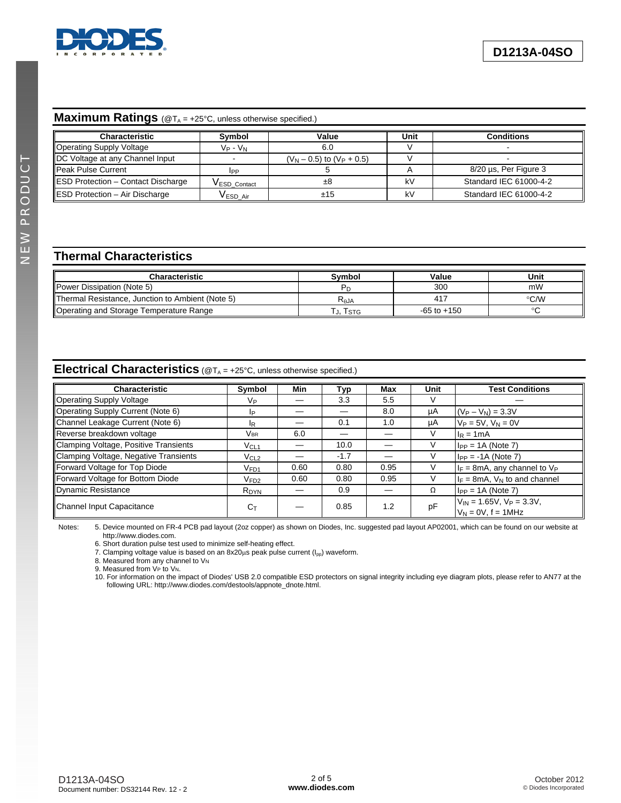

#### **Maximum Ratings** (@T<sub>A</sub> = +25°C, unless otherwise specified.)

| <b>Characteristic</b>              | Symbol              | Value                        | Unit | <b>Conditions</b>       |
|------------------------------------|---------------------|------------------------------|------|-------------------------|
| Operating Supply Voltage           | Vp - V <sub>N</sub> | 6.0                          |      |                         |
| DC Voltage at any Channel Input    |                     | $(VN - 0.5)$ to $(VP + 0.5)$ |      |                         |
| Peak Pulse Current                 | <b>IPP</b>          |                              |      | $8/20$ µs, Per Figure 3 |
| ESD Protection - Contact Discharge | VESD_Contact        | ±8                           | kV   | Standard IEC 61000-4-2  |
| ESD Protection - Air Discharge     | <b>VESDAir</b>      | ±15                          | kV   | Standard IEC 61000-4-2  |

# **Thermal Characteristics**

| Characteristic                                          | Svmbol    | Value           | Unit          |
|---------------------------------------------------------|-----------|-----------------|---------------|
| Power Dissipation (Note 5)                              |           | 300             | mW            |
| <b>Thermal Resistance, Junction to Ambient (Note 5)</b> | $R_{AJA}$ | 417             | $\degree$ C/W |
| Operating and Storage Temperature Range                 | J, Istg   | $-65$ to $+150$ |               |

# **Electrical Characteristics** ( $@T_A = +25^\circ \text{C}$ , unless otherwise specified.)

| <b>Characteristic</b>                 | Symbol           | Min  | Typ    | Max  | <b>Unit</b> | <b>Test Conditions</b>                                                     |
|---------------------------------------|------------------|------|--------|------|-------------|----------------------------------------------------------------------------|
| Operating Supply Voltage              | Vр               |      | 3.3    | 5.5  |             |                                                                            |
| Operating Supply Current (Note 6)     | IP.              |      |        | 8.0  | μA          | $(V_P - V_N) = 3.3V$                                                       |
| Channel Leakage Current (Note 6)      | IR.              |      | 0.1    | 1.0  | μA          | $V_P = 5V$ , $V_N = 0V$                                                    |
| Reverse breakdown voltage             | Vbr.             | 6.0  |        |      |             | $I_R = 1mA$                                                                |
| Clamping Voltage, Positive Transients | $V_{CL1}$        |      | 10.0   |      |             | $I_{PP} = 1A$ (Note 7)                                                     |
| Clamping Voltage, Negative Transients | V <sub>CL2</sub> |      | $-1.7$ |      |             | $I_{PP} = -1A$ (Note 7)                                                    |
| Forward Voltage for Top Diode         | V <sub>FD1</sub> | 0.60 | 0.80   | 0.95 |             | $I_F$ = 8mA, any channel to $V_P$                                          |
| Forward Voltage for Bottom Diode      | V <sub>FD2</sub> | 0.60 | 0.80   | 0.95 |             | $I_F = 8mA$ , $V_N$ to and channel                                         |
| Dynamic Resistance                    | R <sub>DYN</sub> |      | 0.9    |      | Ω           | $I_{PP} = 1A$ (Note 7)                                                     |
| Channel Input Capacitance             | $C_T$            |      | 0.85   | 1.2  | pF          | $V_{\text{IN}}$ = 1.65V, $V_{\text{P}}$ = 3.3V,<br>$V_N = 0V$ , $f = 1MHz$ |

Notes: 5. Device mounted on FR-4 PCB pad layout (2oz copper) as shown on Diodes, Inc. suggested pad layout AP02001, which can be found on our website at [http://www.diodes.com.](http://www.diodes.com) 

6. Short duration pulse test used to minimize self-heating effect.

7. Clamping voltage value is based on an 8x20 $\mu$ s peak pulse current ( $I_{\text{pp}}$ ) waveform.

8. Measured from any channel to VN

9. Measured from VP to VN.

10. For information on the impact of Diodes' USB 2.0 compatible ESD protectors on signal integrity including eye diagram plots, please refer to AN77 at the following URL: [http://www.diodes.com/destools/appnote\\_dnote.html.](http://www.diodes.com/destools/appnote_dnote.html)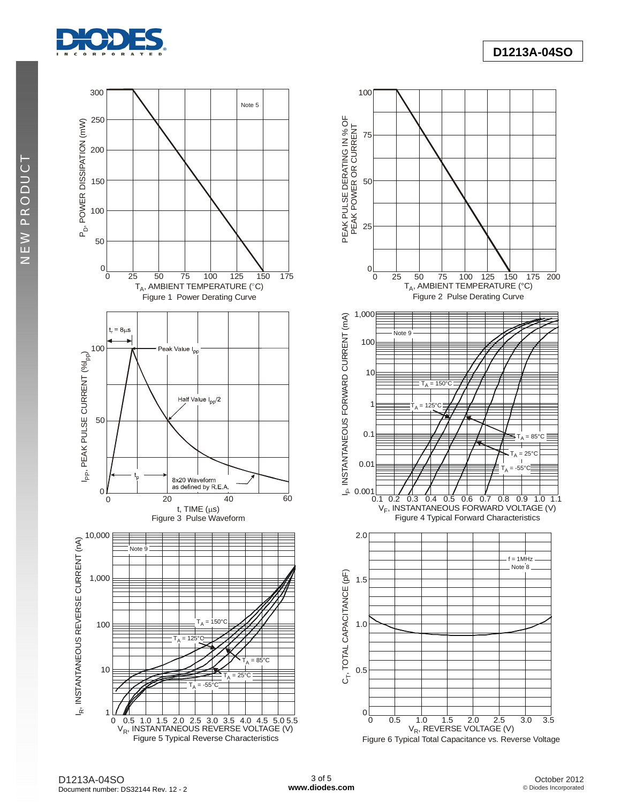

NEW PRODUCT **NEW PRODUCT** 



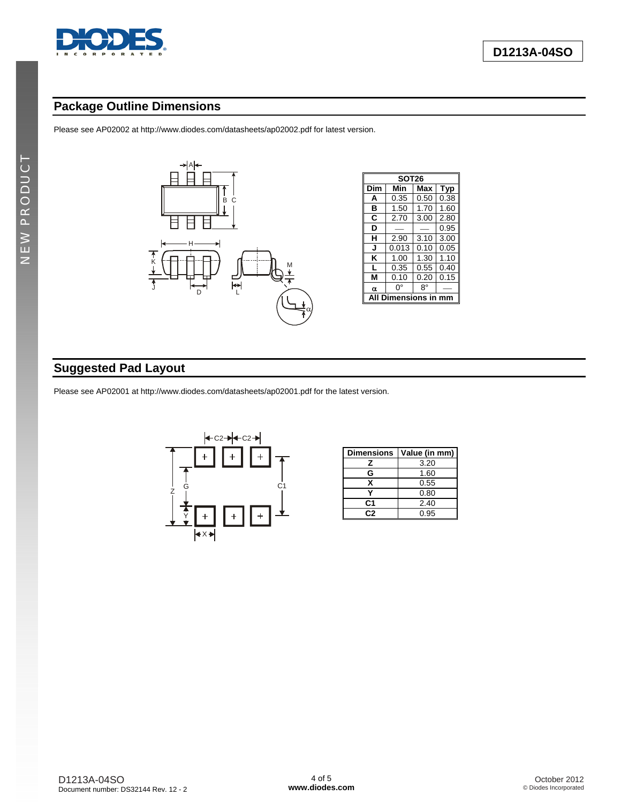

# **Package Outline Dimensions**

Please see AP02002 at [http://www.diodes.com/datasheets/ap02002.pdf fo](http://www.diodes.com/datasheets/ap02002.pdf)r latest version.



| SOT26       |       |      |      |  |  |  |  |
|-------------|-------|------|------|--|--|--|--|
| Dim         | Min   | Max  | Tvp  |  |  |  |  |
| A           | 0.35  | 0.50 | 0.38 |  |  |  |  |
| в           | 1.50  | 1.70 | 1.60 |  |  |  |  |
| С           | 2.70  | 3.00 | 2.80 |  |  |  |  |
| D           |       |      | 0.95 |  |  |  |  |
| н           | 2.90  | 3.10 | 3.00 |  |  |  |  |
| J           | 0.013 | 0.10 | 0.05 |  |  |  |  |
| κ           | 1.00  | 1.30 | 1.10 |  |  |  |  |
| L           | 0.35  | 0.55 | 0.40 |  |  |  |  |
| м           | 0.10  | 0.20 | 0.15 |  |  |  |  |
| α           | ŋ۰    | 8°   |      |  |  |  |  |
| mensions in |       |      |      |  |  |  |  |

# **Suggested Pad Layout**

Please see AP02001 at [http://www.diodes.com/datasheets/ap02001.pdf fo](http://www.diodes.com/datasheets/ap02001.pdf)r the latest version.



| <b>Dimensions</b> | Value (in mm) |
|-------------------|---------------|
| 7                 | 3.20          |
| G                 | 1.60          |
| x                 | 0.55          |
|                   | 0.80          |
| C <sub>1</sub>    | 2.40          |
| r. 2              | 0.95          |